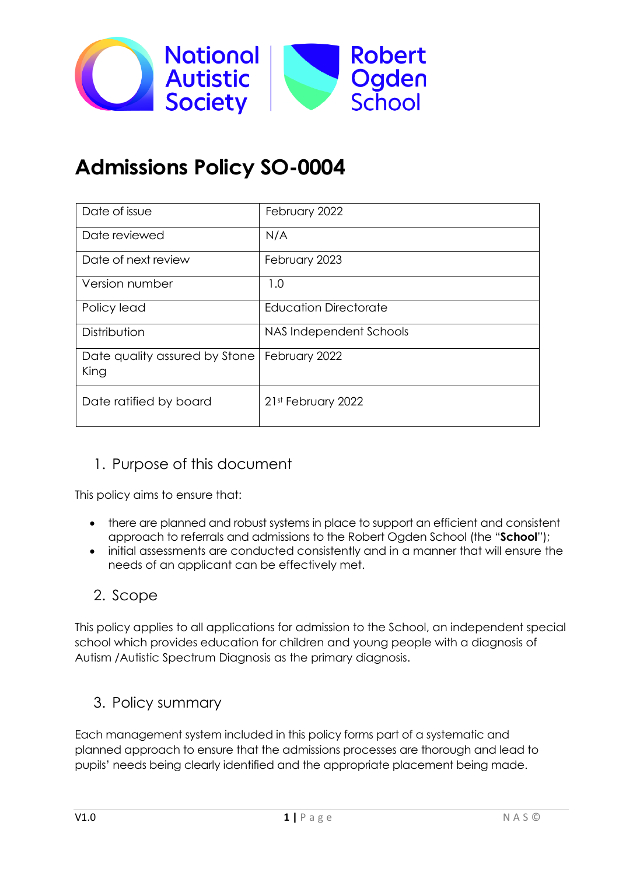

# **Admissions Policy SO-0004**

| Date of issue                         | February 2022                |
|---------------------------------------|------------------------------|
| Date reviewed                         | N/A                          |
| Date of next review                   | February 2023                |
| Version number                        | 1.0                          |
| Policy lead                           | <b>Education Directorate</b> |
| Distribution                          | NAS Independent Schools      |
| Date quality assured by Stone<br>King | February 2022                |
| Date ratified by board                | 21st February 2022           |

# 1. Purpose of this document

This policy aims to ensure that:

- there are planned and robust systems in place to support an efficient and consistent approach to referrals and admissions to the Robert Ogden School (the "**School**");
- initial assessments are conducted consistently and in a manner that will ensure the needs of an applicant can be effectively met.

## 2. Scope

This policy applies to all applications for admission to the School, an independent special school which provides education for children and young people with a diagnosis of Autism /Autistic Spectrum Diagnosis as the primary diagnosis.

## 3. Policy summary

Each management system included in this policy forms part of a systematic and planned approach to ensure that the admissions processes are thorough and lead to pupils' needs being clearly identified and the appropriate placement being made.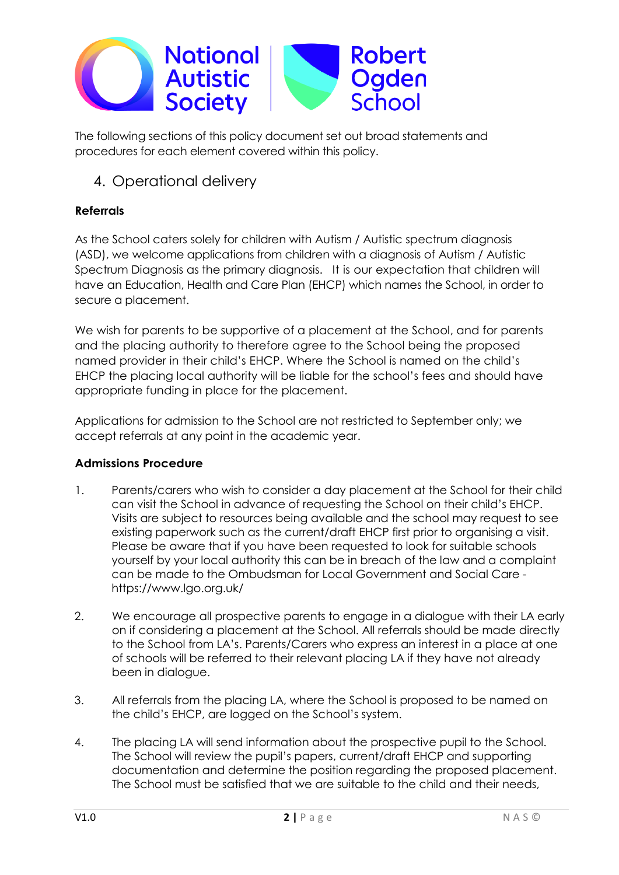

The following sections of this policy document set out broad statements and procedures for each element covered within this policy.

# 4. Operational delivery

### **Referrals**

As the School caters solely for children with Autism / Autistic spectrum diagnosis (ASD), we welcome applications from children with a diagnosis of Autism / Autistic Spectrum Diagnosis as the primary diagnosis. It is our expectation that children will have an Education, Health and Care Plan (EHCP) which names the School, in order to secure a placement.

We wish for parents to be supportive of a placement at the School, and for parents and the placing authority to therefore agree to the School being the proposed named provider in their child's EHCP. Where the School is named on the child's EHCP the placing local authority will be liable for the school's fees and should have appropriate funding in place for the placement.

Applications for admission to the School are not restricted to September only; we accept referrals at any point in the academic year.

#### **Admissions Procedure**

- 1. Parents/carers who wish to consider a day placement at the School for their child can visit the School in advance of requesting the School on their child's EHCP. Visits are subject to resources being available and the school may request to see existing paperwork such as the current/draft EHCP first prior to organising a visit. Please be aware that if you have been requested to look for suitable schools yourself by your local authority this can be in breach of the law and a complaint can be made to the Ombudsman for Local Government and Social Care https://www.lgo.org.uk/
- 2. We encourage all prospective parents to engage in a dialogue with their LA early on if considering a placement at the School. All referrals should be made directly to the School from LA's. Parents/Carers who express an interest in a place at one of schools will be referred to their relevant placing LA if they have not already been in dialogue.
- 3. All referrals from the placing LA, where the School is proposed to be named on the child's EHCP, are logged on the School's system.
- 4. The placing LA will send information about the prospective pupil to the School. The School will review the pupil's papers, current/draft EHCP and supporting documentation and determine the position regarding the proposed placement. The School must be satisfied that we are suitable to the child and their needs,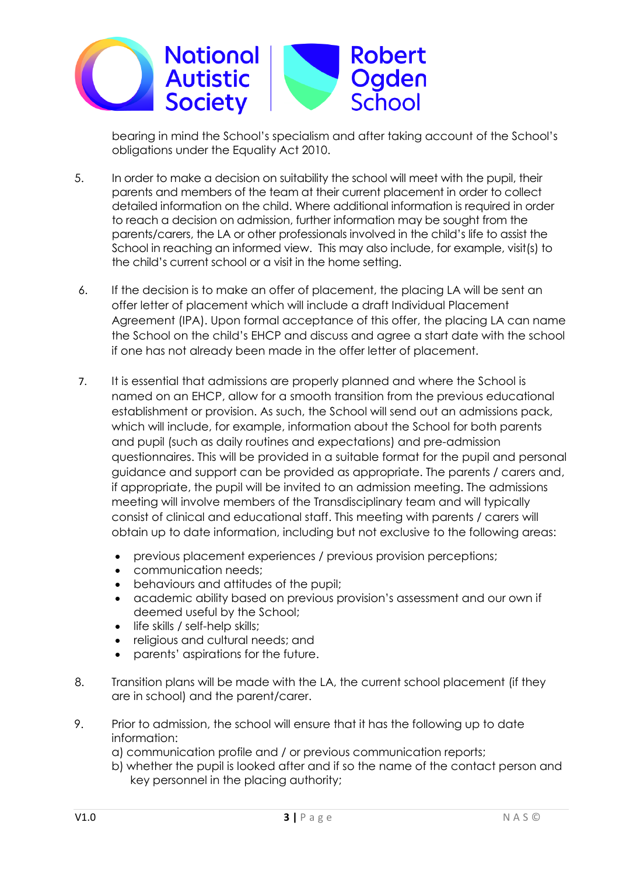

bearing in mind the School's specialism and after taking account of the School's obligations under the Equality Act 2010.

- 5. In order to make a decision on suitability the school will meet with the pupil, their parents and members of the team at their current placement in order to collect detailed information on the child. Where additional information is required in order to reach a decision on admission, further information may be sought from the parents/carers, the LA or other professionals involved in the child's life to assist the School in reaching an informed view. This may also include, for example, visit(s) to the child's current school or a visit in the home setting.
- 6. If the decision is to make an offer of placement, the placing LA will be sent an offer letter of placement which will include a draft Individual Placement Agreement (IPA). Upon formal acceptance of this offer, the placing LA can name the School on the child's EHCP and discuss and agree a start date with the school if one has not already been made in the offer letter of placement.
- 7. It is essential that admissions are properly planned and where the School is named on an EHCP, allow for a smooth transition from the previous educational establishment or provision. As such, the School will send out an admissions pack, which will include, for example, information about the School for both parents and pupil (such as daily routines and expectations) and pre-admission questionnaires. This will be provided in a suitable format for the pupil and personal guidance and support can be provided as appropriate. The parents / carers and, if appropriate, the pupil will be invited to an admission meeting. The admissions meeting will involve members of the Transdisciplinary team and will typically consist of clinical and educational staff. This meeting with parents / carers will obtain up to date information, including but not exclusive to the following areas:
	- previous placement experiences / previous provision perceptions;
	- communication needs;
	- behaviours and attitudes of the pupil;
	- academic ability based on previous provision's assessment and our own if deemed useful by the School;
	- life skills / self-help skills;
	- religious and cultural needs; and
	- parents' aspirations for the future.
- 8. Transition plans will be made with the LA, the current school placement (if they are in school) and the parent/carer.
- 9. Prior to admission, the school will ensure that it has the following up to date information:
	- a) communication profile and / or previous communication reports;
	- b) whether the pupil is looked after and if so the name of the contact person and key personnel in the placing authority;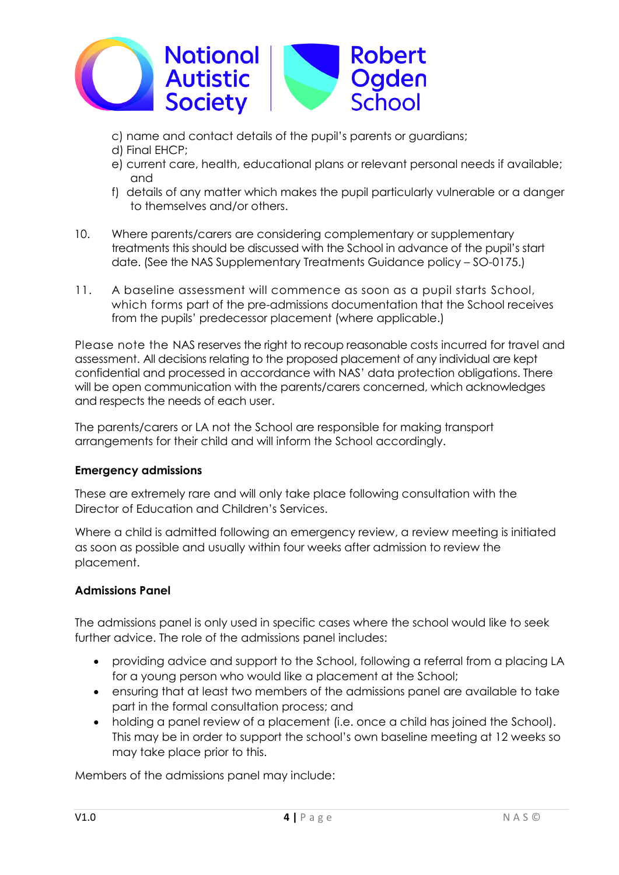

- c) name and contact details of the pupil's parents or guardians;
- d) Final EHCP;
- e) current care, health, educational plans or relevant personal needs if available; and
- f) details of any matter which makes the pupil particularly vulnerable or a danger to themselves and/or others.
- 10. Where parents/carers are considering complementary or supplementary treatments this should be discussed with the School in advance of the pupil's start date. (See the NAS Supplementary Treatments Guidance policy – SO-0175.)
- 11. A baseline assessment will commence as soon as a pupil starts School, which forms part of the pre-admissions documentation that the School receives from the pupils' predecessor placement (where applicable.)

Please note the NAS reserves the right to recoup reasonable costs incurred for travel and assessment. All decisions relating to the proposed placement of any individual are kept confidential and processed in accordance with NAS' data protection obligations. There will be open communication with the parents/carers concerned, which acknowledges and respects the needs of each user.

The parents/carers or LA not the School are responsible for making transport arrangements for their child and will inform the School accordingly.

#### **Emergency admissions**

These are extremely rare and will only take place following consultation with the Director of Education and Children's Services.

Where a child is admitted following an emergency review, a review meeting is initiated as soon as possible and usually within four weeks after admission to review the placement.

#### **Admissions Panel**

The admissions panel is only used in specific cases where the school would like to seek further advice. The role of the admissions panel includes:

- providing advice and support to the School, following a referral from a placing LA for a young person who would like a placement at the School;
- ensuring that at least two members of the admissions panel are available to take part in the formal consultation process; and
- holding a panel review of a placement (i.e. once a child has joined the School). This may be in order to support the school's own baseline meeting at 12 weeks so may take place prior to this.

Members of the admissions panel may include: